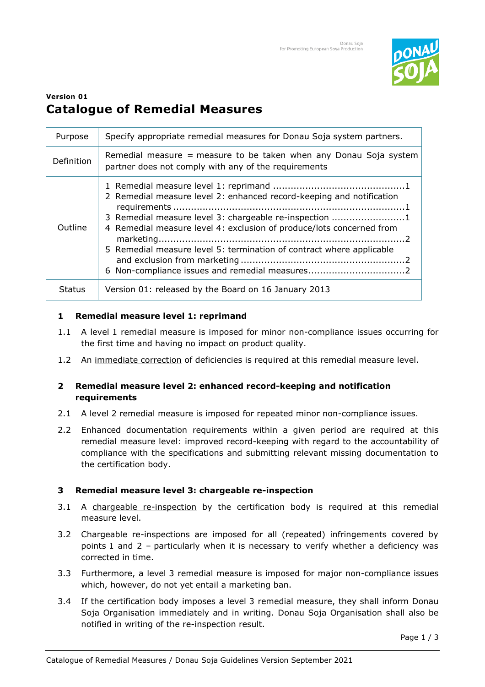

# **Version 01 Catalogue of Remedial Measures**

| Purpose       | Specify appropriate remedial measures for Donau Soja system partners.                                                                                                                                                                                                          |
|---------------|--------------------------------------------------------------------------------------------------------------------------------------------------------------------------------------------------------------------------------------------------------------------------------|
| Definition    | Remedial measure = measure to be taken when any Donau Soja system<br>partner does not comply with any of the requirements                                                                                                                                                      |
| Outline       | 2 Remedial measure level 2: enhanced record-keeping and notification<br>3 Remedial measure level 3: chargeable re-inspection 1<br>4 Remedial measure level 4: exclusion of produce/lots concerned from<br>5 Remedial measure level 5: termination of contract where applicable |
| <b>Status</b> | Version 01: released by the Board on 16 January 2013                                                                                                                                                                                                                           |

## **1 Remedial measure level 1: reprimand**

- 1.1 A level 1 remedial measure is imposed for minor non-compliance issues occurring for the first time and having no impact on product quality.
- 1.2 An immediate correction of deficiencies is required at this remedial measure level.

### **2 Remedial measure level 2: enhanced record-keeping and notification requirements**

- 2.1 A level 2 remedial measure is imposed for repeated minor non-compliance issues.
- 2.2 Enhanced documentation requirements within a given period are required at this remedial measure level: improved record-keeping with regard to the accountability of compliance with the specifications and submitting relevant missing documentation to the certification body.

# **3 Remedial measure level 3: chargeable re-inspection**

- 3.1 A chargeable re-inspection by the certification body is required at this remedial measure level.
- 3.2 Chargeable re-inspections are imposed for all (repeated) infringements covered by points 1 and 2 – particularly when it is necessary to verify whether a deficiency was corrected in time.
- 3.3 Furthermore, a level 3 remedial measure is imposed for major non-compliance issues which, however, do not yet entail a marketing ban.
- 3.4 If the certification body imposes a level 3 remedial measure, they shall inform Donau Soja Organisation immediately and in writing. Donau Soja Organisation shall also be notified in writing of the re-inspection result.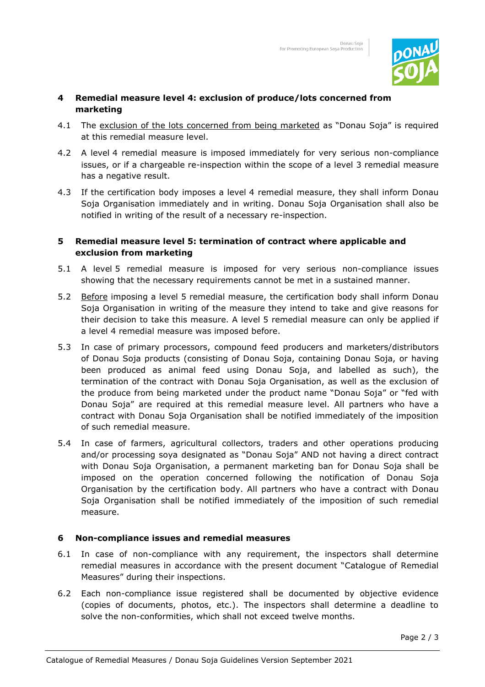

## **4 Remedial measure level 4: exclusion of produce/lots concerned from marketing**

- 4.1 The exclusion of the lots concerned from being marketed as "Donau Soja" is required at this remedial measure level.
- 4.2 A level 4 remedial measure is imposed immediately for very serious non-compliance issues, or if a chargeable re-inspection within the scope of a level 3 remedial measure has a negative result.
- 4.3 If the certification body imposes a level 4 remedial measure, they shall inform Donau Soja Organisation immediately and in writing. Donau Soja Organisation shall also be notified in writing of the result of a necessary re-inspection.

## **5 Remedial measure level 5: termination of contract where applicable and exclusion from marketing**

- 5.1 A level 5 remedial measure is imposed for very serious non-compliance issues showing that the necessary requirements cannot be met in a sustained manner.
- 5.2 Before imposing a level 5 remedial measure, the certification body shall inform Donau Soja Organisation in writing of the measure they intend to take and give reasons for their decision to take this measure. A level 5 remedial measure can only be applied if a level 4 remedial measure was imposed before.
- 5.3 In case of primary processors, compound feed producers and marketers/distributors of Donau Soja products (consisting of Donau Soja, containing Donau Soja, or having been produced as animal feed using Donau Soja, and labelled as such), the termination of the contract with Donau Soja Organisation, as well as the exclusion of the produce from being marketed under the product name "Donau Soja" or "fed with Donau Soja" are required at this remedial measure level. All partners who have a contract with Donau Soja Organisation shall be notified immediately of the imposition of such remedial measure.
- 5.4 In case of farmers, agricultural collectors, traders and other operations producing and/or processing soya designated as "Donau Soja" AND not having a direct contract with Donau Soja Organisation, a permanent marketing ban for Donau Soja shall be imposed on the operation concerned following the notification of Donau Soja Organisation by the certification body. All partners who have a contract with Donau Soja Organisation shall be notified immediately of the imposition of such remedial measure.

### **6 Non-compliance issues and remedial measures**

- 6.1 In case of non-compliance with any requirement, the inspectors shall determine remedial measures in accordance with the present document "Catalogue of Remedial Measures" during their inspections.
- 6.2 Each non-compliance issue registered shall be documented by objective evidence (copies of documents, photos, etc.). The inspectors shall determine a deadline to solve the non-conformities, which shall not exceed twelve months.